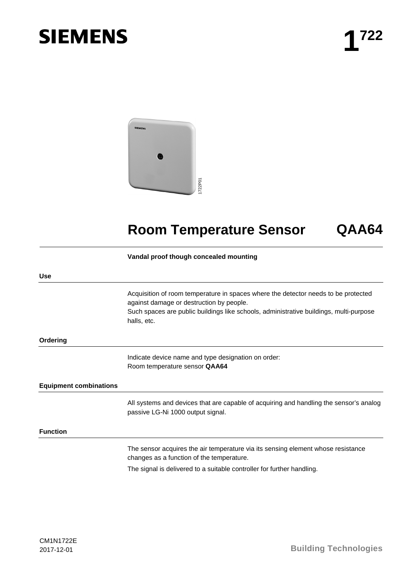# **SIEMENS**



## **Room Temperature Sensor QAA64**

#### **Vandal proof though concealed mounting**

|                               | 722P0                                                                                                                                                                                                                                   |  |
|-------------------------------|-----------------------------------------------------------------------------------------------------------------------------------------------------------------------------------------------------------------------------------------|--|
|                               | <b>Room Temperature Sensor</b><br>QAA64                                                                                                                                                                                                 |  |
|                               | Vandal proof though concealed mounting                                                                                                                                                                                                  |  |
| <b>Use</b>                    |                                                                                                                                                                                                                                         |  |
|                               | Acquisition of room temperature in spaces where the detector needs to be protected<br>against damage or destruction by people.<br>Such spaces are public buildings like schools, administrative buildings, multi-purpose<br>halls, etc. |  |
| Ordering                      |                                                                                                                                                                                                                                         |  |
|                               | Indicate device name and type designation on order:<br>Room temperature sensor QAA64                                                                                                                                                    |  |
| <b>Equipment combinations</b> |                                                                                                                                                                                                                                         |  |
|                               | All systems and devices that are capable of acquiring and handling the sensor's analog<br>passive LG-Ni 1000 output signal.                                                                                                             |  |
| <b>Function</b>               |                                                                                                                                                                                                                                         |  |
|                               | The sensor acquires the air temperature via its sensing element whose resistance<br>changes as a function of the temperature.                                                                                                           |  |
|                               | The signal is delivered to a suitable controller for further handling.                                                                                                                                                                  |  |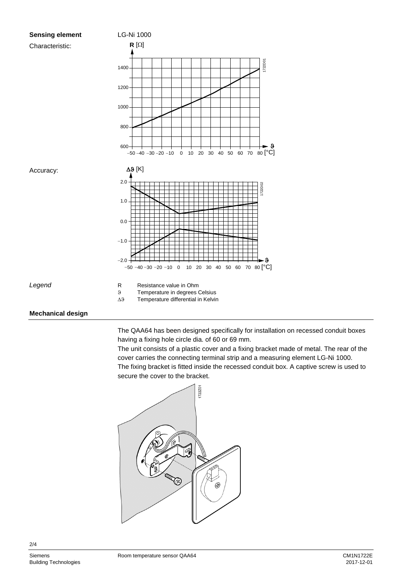

 $3$  Temperature in degrees Celsius<br> $\Delta 9$  Temperature differential in Kelvir

Temperature differential in Kelvin

### **Mechanical design**

The QAA64 has been designed specifically for installation on recessed conduit boxes having a fixing hole circle dia. of 60 or 69 mm.

The unit consists of a plastic cover and a fixing bracket made of metal. The rear of the cover carries the connecting terminal strip and a measuring element LG-Ni 1000. The fixing bracket is fitted inside the recessed conduit box. A captive screw is used to secure the cover to the bracket.



2/4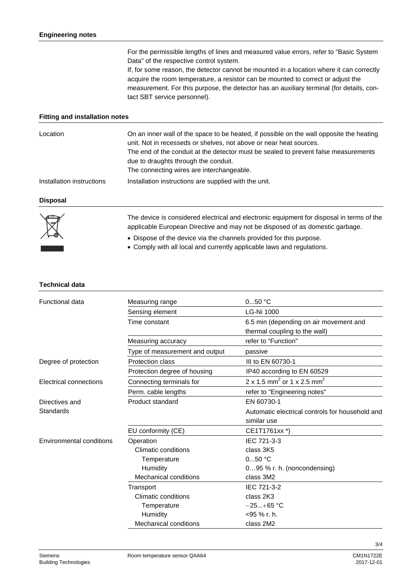For the permissible lengths of lines and measured value errors, refer to "Basic System Data" of the respective control system. If, for some reason, the detector cannot be mounted in a location where it can correctly acquire the room temperature, a resistor can be mounted to correct or adjust the measurement. For this purpose, the detector has an auxiliary terminal (for details, contact SBT service personnel).

#### **Fitting and installation notes**

| Location                  | On an inner wall of the space to be heated, if possible on the wall opposite the heating<br>unit. Not in recesseds or shelves, not above or near heat sources.<br>The end of the conduit at the detector must be sealed to prevent false measurements<br>due to draughts through the conduit. |
|---------------------------|-----------------------------------------------------------------------------------------------------------------------------------------------------------------------------------------------------------------------------------------------------------------------------------------------|
| Installation instructions | The connecting wires are interchangeable.<br>Installation instructions are supplied with the unit.                                                                                                                                                                                            |
| <b>Disposal</b>           |                                                                                                                                                                                                                                                                                               |
|                           | The device is considered electrical and electronic equipment for disposal in terms of the                                                                                                                                                                                                     |

The device is considered electrical and electronic equipment for disposal in terms of the applicable European Directive and may not be disposed of as domestic garbage.

- Dispose of the device via the channels provided for this purpose.
- Comply with all local and currently applicable laws and regulations.

#### **Technical data**

| <b>Functional data</b>          | Measuring range                | $050$ °C                                                                |
|---------------------------------|--------------------------------|-------------------------------------------------------------------------|
|                                 | Sensing element                | <b>LG-Ni 1000</b>                                                       |
|                                 | Time constant                  | 6.5 min (depending on air movement and<br>thermal coupling to the wall) |
|                                 | Measuring accuracy             | refer to "Function"                                                     |
|                                 | Type of measurement and output | passive                                                                 |
| Degree of protection            | Protection class               | III to EN 60730-1                                                       |
|                                 | Protection degree of housing   | IP40 according to EN 60529                                              |
| Electrical connections          | Connecting terminals for       | 2 x 1.5 mm <sup>2</sup> or 1 x 2.5 mm <sup>2</sup>                      |
|                                 | Perm. cable lengths            | refer to "Engineering notes"                                            |
| Directives and                  | Product standard               | EN 60730-1                                                              |
| Standards                       |                                | Automatic electrical controls for household and                         |
|                                 |                                | similar use                                                             |
|                                 | EU conformity (CE)             | CE1T1761xx *)                                                           |
| <b>Environmental conditions</b> | Operation                      | IEC 721-3-3                                                             |
|                                 | Climatic conditions            | class 3K5                                                               |
|                                 | Temperature                    | $050$ °C                                                                |
|                                 | Humidity                       | 095 % r. h. (noncondensing)                                             |
|                                 | <b>Mechanical conditions</b>   | class 3M2                                                               |
|                                 | Transport                      | IEC 721-3-2                                                             |
|                                 | Climatic conditions            | class 2K3                                                               |
|                                 | Temperature                    | $-25+65$ °C                                                             |
|                                 | Humidity                       | <95 % r. h.                                                             |
|                                 | <b>Mechanical conditions</b>   | class 2M2                                                               |

3/4